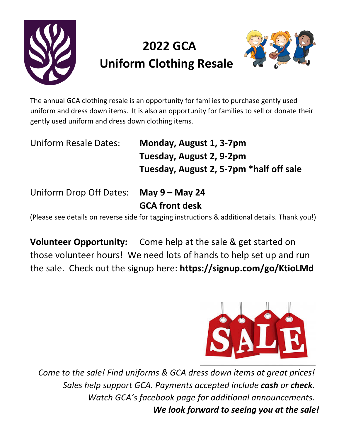

## **2022 GCA Uniform Clothing Resale**



The annual GCA clothing resale is an opportunity for families to purchase gently used uniform and dress down items. It is also an opportunity for families to sell or donate their gently used uniform and dress down clothing items.

Uniform Resale Dates: **Monday, August 1, 3-7pm Tuesday, August 2, 9-2pm Tuesday, August 2, 5-7pm \*half off sale** 

Uniform Drop Off Dates: **May 9 – May 24**

**GCA front desk**

(Please see details on reverse side for tagging instructions & additional details. Thank you!)

**Volunteer Opportunity:** Come help at the sale & get started on those volunteer hours! We need lots of hands to help set up and run the sale. Check out the signup here: **https://signup.com/go/KtioLMd**



*Come to the sale! Find uniforms & GCA dress down items at great prices! Sales help support GCA. Payments accepted include cash or check. Watch GCA's facebook page for additional announcements. We look forward to seeing you at the sale!*